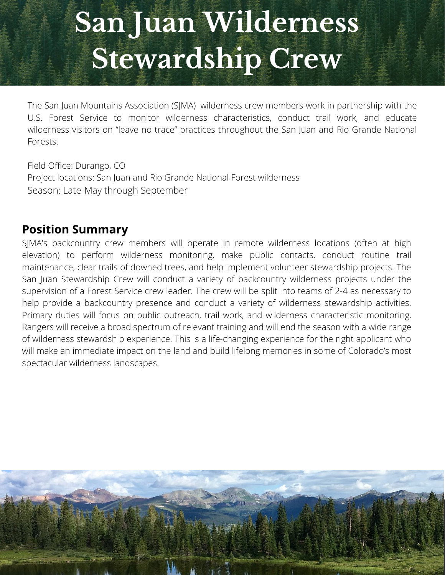## **San Juan Wilderness Stewardship Crew**

The San Juan Mountains Association (SJMA) wilderness crew members work in partnership with the U.S. Forest Service to monitor wilderness characteristics, conduct trail work, and educate wilderness visitors on "leave no trace" practices throughout the San Juan and Rio Grande National Forests.

Field Office: Durango, CO Project locations: San Juan and Rio Grande National Forest wilderness Season: Late-May through September

### **Position Summary**

SJMA's backcountry crew members will operate in remote wilderness locations (often at high elevation) to perform wilderness monitoring, make public contacts, conduct routine trail maintenance, clear trails of downed trees, and help implement volunteer stewardship projects. The San Juan Stewardship Crew will conduct a variety of backcountry wilderness projects under the supervision of a Forest Service crew leader. The crew will be split into teams of 2-4 as necessary to help provide a backcountry presence and conduct a variety of wilderness stewardship activities. Primary duties will focus on public outreach, trail work, and wilderness characteristic monitoring. Rangers will receive a broad spectrum of relevant training and will end the season with a wide range of wilderness stewardship experience. This is a life-changing experience for the right applicant who will make an immediate impact on the land and build lifelong memories in some of Colorado's most spectacular wilderness landscapes.

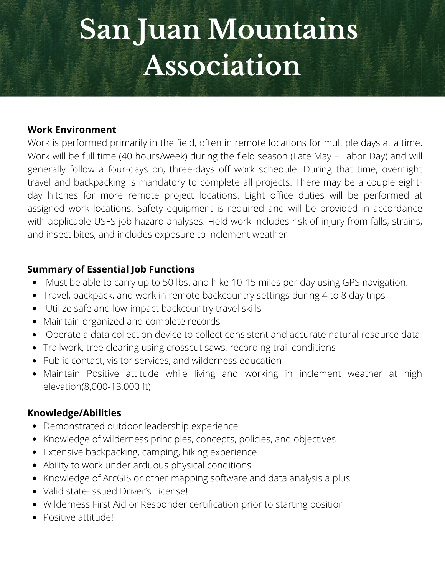## **San Juan Mountains Association**

#### **Work Environment**

Work is performed primarily in the field, often in remote locations for multiple days at a time. Work will be full time (40 hours/week) during the field season (Late May – Labor Day) and will generally follow a four-days on, three-days off work schedule. During that time, overnight travel and backpacking is mandatory to complete all projects. There may be a couple eightday hitches for more remote project locations. Light office duties will be performed at assigned work locations. Safety equipment is required and will be provided in accordance with applicable USFS job hazard analyses. Field work includes risk of injury from falls, strains, and insect bites, and includes exposure to inclement weather.

#### **Summary of Essential Job Functions**

- Must be able to carry up to 50 lbs. and hike 10-15 miles per day using GPS navigation.  $\bullet$
- Travel, backpack, and work in remote backcountry settings during 4 to 8 day trips
- Utilize safe and low-impact backcountry travel skills
- Maintain organized and complete records
- Operate a data collection device to collect consistent and accurate natural resource data
- Trailwork, tree clearing using crosscut saws, recording trail conditions
- **Studionally:** Trailwork, these stearing domig enous services and wilderness education
	- Maintain Positive attitude while living and working in inclement weather at high<br>slaugtian<sup>(8,888,43,888,48</sup>) elevation(8,000-13,000 ft)

#### **Knowledge/Abilities**

- **629** Demonstrated outdoor leadership experience
- Knowledge of wilderness principles, concepts, policies, and objectives
- Extensive backpacking, camping, hiking experience
- **2,974** Ability to work under arduous physical conditions
- Knowledge of ArcGIS or other mapping software and data analysis a plus
- Knowiedge of ArcGIS or other map<br>Valid state-issued Driver's License!
- **46** Wilderness First Aid or Responder certification prior to starting position
- **Total Volume** *attitude*: • Positive attitude!